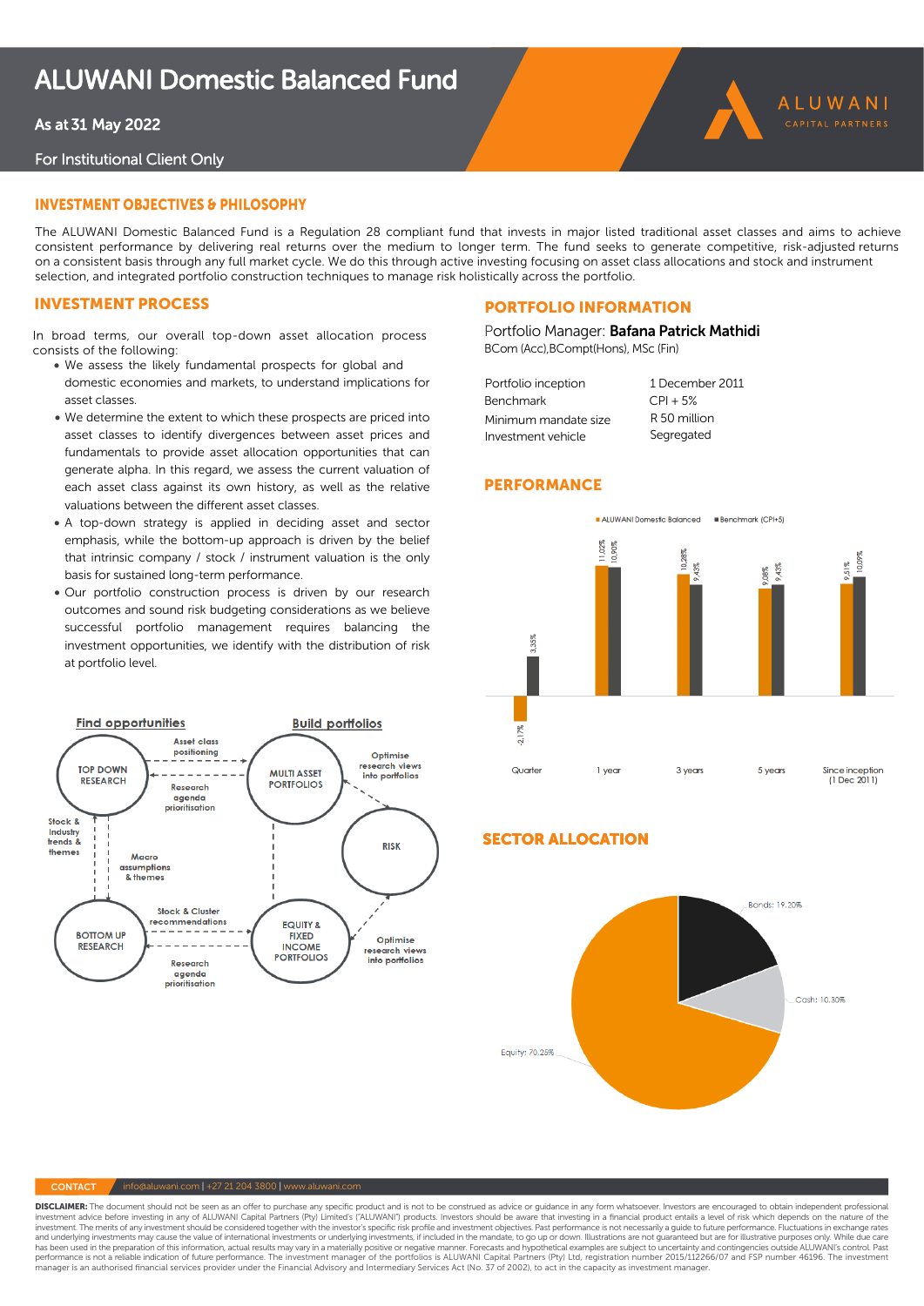# ALUWANI Domestic Balanced Fund

# As at 31 May 2022

## For Institutional Client Only

# iNVesTmeNT OBJecTiVes & PHilOsOPHY

The ALUWANI Domestic Balanced Fund is a Regulation 28 compliant fund that invests in major listed traditional asset classes and aims to achieve consistent performance by delivering real returns over the medium to longer term. The fund seeks to generate competitive, risk-adjusted returns on a consistent basis through any full market cycle. We do this through active investing focusing on asset class allocations and stock and instrument selection, and integrated portfolio construction techniques to manage risk holistically across the portfolio.

# iNVesTmeNT PROcess

In broad terms, our overall top-down asset allocation process consists of the following:

- We assess the likely fundamental prospects for global and domestic economies and markets, to understand implications for asset classes.
- We determine the extent to which these prospects are priced into asset classes to identify divergences between asset prices and fundamentals to provide asset allocation opportunities that can generate alpha. In this regard, we assess the current valuation of each asset class against its own history, as well as the relative valuations between the different asset classes.
- A top-down strategy is applied in deciding asset and sector emphasis, while the bottom-up approach is driven by the belief that intrinsic company / stock / instrument valuation is the only basis for sustained long-term performance.
- Our portfolio construction process is driven by our research outcomes and sound risk budgeting considerations as we believe successful portfolio management requires balancing the investment opportunities, we identify with the distribution of risk at portfolio level.



# PORTfOliO iNfORmaTiON

Portfolio Manager: Bafana Patrick Mathidi BCom (Acc),BCompt(Hons), MSc (Fin)

| Portfolio inception  | 1 December 2011 |
|----------------------|-----------------|
| Benchmark            | $CPI + 5%$      |
| Minimum mandate size | R 50 million    |
| Investment vehicle   | Segregated      |

# **PERFORMANCE**



ALUWANI

# Sector Allocation secTOR allOcaTiON



#### $\sqrt{ }$  info@aluwani.com | +27 21 204 3800 | www.aluwani.com

**DISCLAIMER:** The document should not be seen as an offer to purchase any specific product and is not to be construed as advice or guidance in any form whatsoever. Investors are encouraged to obtain independent professiona and underlying investments may cause the value of international investments or underlying investments. if included in the mandate, to go up or down. Illustrations are not quaranteed but are for illustrative purposes only. has been used in the preparation of this information, actual results may vary in a materially positive or negative manner. Forecasts and hypothetical examples are subject to uncertainty and contingencies outside ALUWANI's manager is an authorised financial services provider under the Financial Advisory and Intermediary Services Act (No. 37 of 2002), to act in the capacity as investment manager.